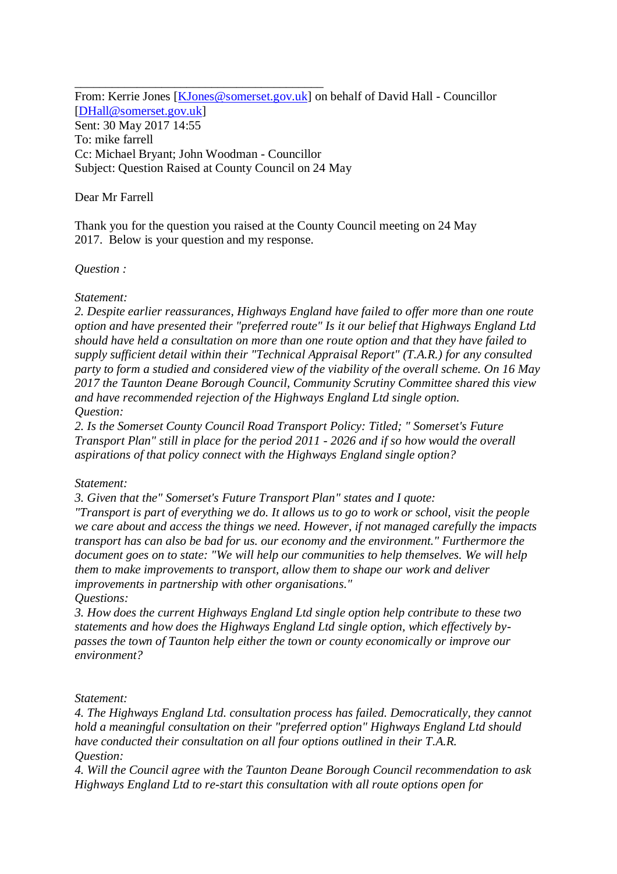\_\_\_\_\_\_\_\_\_\_\_\_\_\_\_\_\_\_\_\_\_\_\_\_\_\_\_\_\_\_\_\_\_\_\_\_\_\_\_\_ From: Kerrie Jones [\[KJones@somerset.gov.uk\]](mailto:KJones@somerset.gov.uk) on behalf of David Hall - Councillor [\[DHall@somerset.gov.uk\]](mailto:DHall@somerset.gov.uk) Sent: 30 May 2017 14:55 To: mike farrell Cc: Michael Bryant; John Woodman - Councillor Subject: Question Raised at County Council on 24 May

# Dear Mr Farrell

Thank you for the question you raised at the County Council meeting on 24 May 2017. Below is your question and my response.

## *Question :*

#### *Statement:*

*2. Despite earlier reassurances, Highways England have failed to offer more than one route option and have presented their "preferred route" Is it our belief that Highways England Ltd should have held a consultation on more than one route option and that they have failed to supply sufficient detail within their "Technical Appraisal Report" (T.A.R.) for any consulted party to form a studied and considered view of the viability of the overall scheme. On 16 May 2017 the Taunton Deane Borough Council, Community Scrutiny Committee shared this view and have recommended rejection of the Highways England Ltd single option. Question:*

*2. Is the Somerset County Council Road Transport Policy: Titled; " Somerset's Future Transport Plan" still in place for the period 2011 - 2026 and if so how would the overall aspirations of that policy connect with the Highways England single option?*

## *Statement:*

*3. Given that the" Somerset's Future Transport Plan" states and I quote:*

*"Transport is part of everything we do. It allows us to go to work or school, visit the people we care about and access the things we need. However, if not managed carefully the impacts transport has can also be bad for us. our economy and the environment." Furthermore the document goes on to state: "We will help our communities to help themselves. We will help them to make improvements to transport, allow them to shape our work and deliver improvements in partnership with other organisations."*

*Questions:*

*3. How does the current Highways England Ltd single option help contribute to these two statements and how does the Highways England Ltd single option, which effectively bypasses the town of Taunton help either the town or county economically or improve our environment?*

*Statement:*

*4. The Highways England Ltd. consultation process has failed. Democratically, they cannot hold a meaningful consultation on their "preferred option" Highways England Ltd should have conducted their consultation on all four options outlined in their T.A.R. Question:*

*4. Will the Council agree with the Taunton Deane Borough Council recommendation to ask Highways England Ltd to re-start this consultation with all route options open for*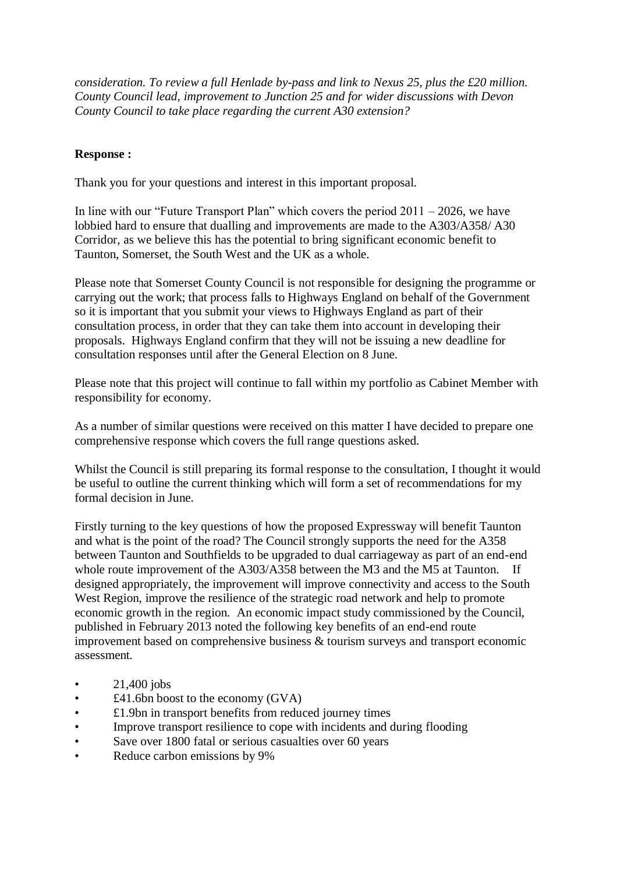*consideration. To review a full Henlade by-pass and link to Nexus 25, plus the £20 million. County Council lead, improvement to Junction 25 and for wider discussions with Devon County Council to take place regarding the current A30 extension?*

# **Response :**

Thank you for your questions and interest in this important proposal.

In line with our "Future Transport Plan" which covers the period  $2011 - 2026$ , we have lobbied hard to ensure that dualling and improvements are made to the A303/A358/ A30 Corridor, as we believe this has the potential to bring significant economic benefit to Taunton, Somerset, the South West and the UK as a whole.

Please note that Somerset County Council is not responsible for designing the programme or carrying out the work; that process falls to Highways England on behalf of the Government so it is important that you submit your views to Highways England as part of their consultation process, in order that they can take them into account in developing their proposals. Highways England confirm that they will not be issuing a new deadline for consultation responses until after the General Election on 8 June.

Please note that this project will continue to fall within my portfolio as Cabinet Member with responsibility for economy.

As a number of similar questions were received on this matter I have decided to prepare one comprehensive response which covers the full range questions asked.

Whilst the Council is still preparing its formal response to the consultation, I thought it would be useful to outline the current thinking which will form a set of recommendations for my formal decision in June.

Firstly turning to the key questions of how the proposed Expressway will benefit Taunton and what is the point of the road? The Council strongly supports the need for the A358 between Taunton and Southfields to be upgraded to dual carriageway as part of an end-end whole route improvement of the A303/A358 between the M3 and the M5 at Taunton. If designed appropriately, the improvement will improve connectivity and access to the South West Region, improve the resilience of the strategic road network and help to promote economic growth in the region. An economic impact study commissioned by the Council, published in February 2013 noted the following key benefits of an end-end route improvement based on comprehensive business & tourism surveys and transport economic assessment.

- $21,400$  jobs
- $£41.6$ bn boost to the economy (GVA)
- £1.9bn in transport benefits from reduced journey times
- Improve transport resilience to cope with incidents and during flooding
- Save over 1800 fatal or serious casualties over 60 years
- Reduce carbon emissions by 9%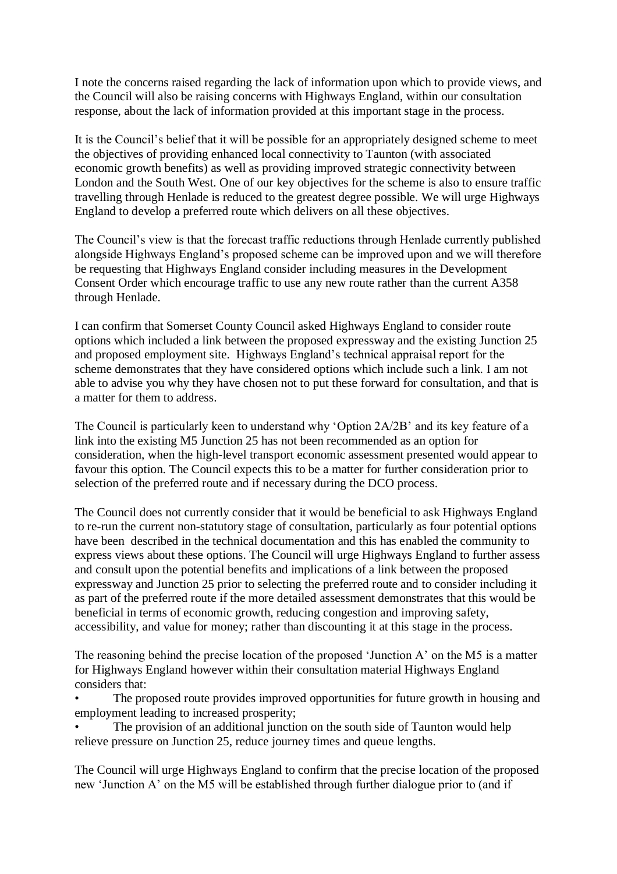I note the concerns raised regarding the lack of information upon which to provide views, and the Council will also be raising concerns with Highways England, within our consultation response, about the lack of information provided at this important stage in the process.

It is the Council's belief that it will be possible for an appropriately designed scheme to meet the objectives of providing enhanced local connectivity to Taunton (with associated economic growth benefits) as well as providing improved strategic connectivity between London and the South West. One of our key objectives for the scheme is also to ensure traffic travelling through Henlade is reduced to the greatest degree possible. We will urge Highways England to develop a preferred route which delivers on all these objectives.

The Council's view is that the forecast traffic reductions through Henlade currently published alongside Highways England's proposed scheme can be improved upon and we will therefore be requesting that Highways England consider including measures in the Development Consent Order which encourage traffic to use any new route rather than the current A358 through Henlade.

I can confirm that Somerset County Council asked Highways England to consider route options which included a link between the proposed expressway and the existing Junction 25 and proposed employment site. Highways England's technical appraisal report for the scheme demonstrates that they have considered options which include such a link. I am not able to advise you why they have chosen not to put these forward for consultation, and that is a matter for them to address.

The Council is particularly keen to understand why 'Option 2A/2B' and its key feature of a link into the existing M5 Junction 25 has not been recommended as an option for consideration, when the high-level transport economic assessment presented would appear to favour this option. The Council expects this to be a matter for further consideration prior to selection of the preferred route and if necessary during the DCO process.

The Council does not currently consider that it would be beneficial to ask Highways England to re-run the current non-statutory stage of consultation, particularly as four potential options have been described in the technical documentation and this has enabled the community to express views about these options. The Council will urge Highways England to further assess and consult upon the potential benefits and implications of a link between the proposed expressway and Junction 25 prior to selecting the preferred route and to consider including it as part of the preferred route if the more detailed assessment demonstrates that this would be beneficial in terms of economic growth, reducing congestion and improving safety, accessibility, and value for money; rather than discounting it at this stage in the process.

The reasoning behind the precise location of the proposed 'Junction A' on the M5 is a matter for Highways England however within their consultation material Highways England considers that:

The proposed route provides improved opportunities for future growth in housing and employment leading to increased prosperity;

The provision of an additional junction on the south side of Taunton would help relieve pressure on Junction 25, reduce journey times and queue lengths.

The Council will urge Highways England to confirm that the precise location of the proposed new 'Junction A' on the M5 will be established through further dialogue prior to (and if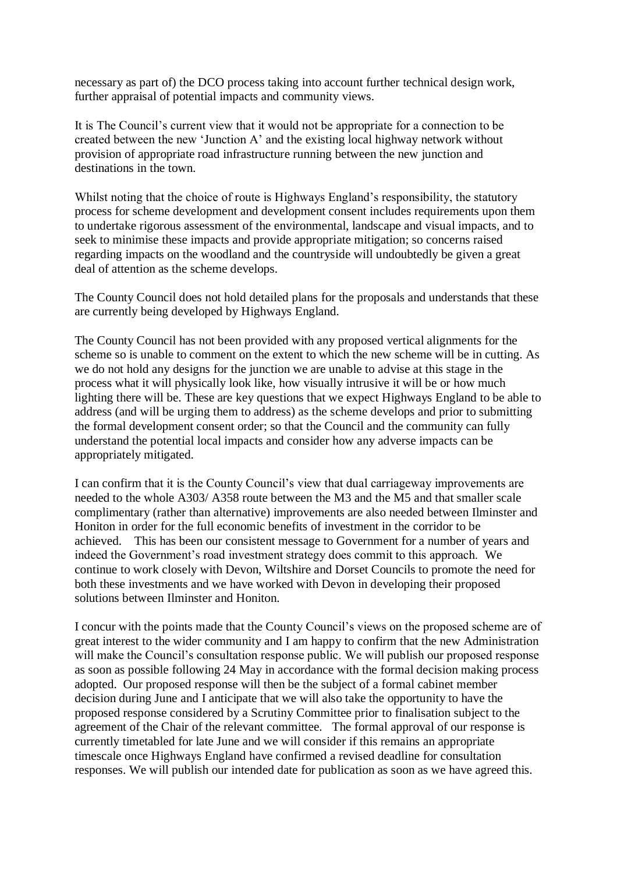necessary as part of) the DCO process taking into account further technical design work, further appraisal of potential impacts and community views.

It is The Council's current view that it would not be appropriate for a connection to be created between the new 'Junction A' and the existing local highway network without provision of appropriate road infrastructure running between the new junction and destinations in the town.

Whilst noting that the choice of route is Highways England's responsibility, the statutory process for scheme development and development consent includes requirements upon them to undertake rigorous assessment of the environmental, landscape and visual impacts, and to seek to minimise these impacts and provide appropriate mitigation; so concerns raised regarding impacts on the woodland and the countryside will undoubtedly be given a great deal of attention as the scheme develops.

The County Council does not hold detailed plans for the proposals and understands that these are currently being developed by Highways England.

The County Council has not been provided with any proposed vertical alignments for the scheme so is unable to comment on the extent to which the new scheme will be in cutting. As we do not hold any designs for the junction we are unable to advise at this stage in the process what it will physically look like, how visually intrusive it will be or how much lighting there will be. These are key questions that we expect Highways England to be able to address (and will be urging them to address) as the scheme develops and prior to submitting the formal development consent order; so that the Council and the community can fully understand the potential local impacts and consider how any adverse impacts can be appropriately mitigated.

I can confirm that it is the County Council's view that dual carriageway improvements are needed to the whole A303/ A358 route between the M3 and the M5 and that smaller scale complimentary (rather than alternative) improvements are also needed between Ilminster and Honiton in order for the full economic benefits of investment in the corridor to be achieved. This has been our consistent message to Government for a number of years and indeed the Government's road investment strategy does commit to this approach. We continue to work closely with Devon, Wiltshire and Dorset Councils to promote the need for both these investments and we have worked with Devon in developing their proposed solutions between Ilminster and Honiton.

I concur with the points made that the County Council's views on the proposed scheme are of great interest to the wider community and I am happy to confirm that the new Administration will make the Council's consultation response public. We will publish our proposed response as soon as possible following 24 May in accordance with the formal decision making process adopted. Our proposed response will then be the subject of a formal cabinet member decision during June and I anticipate that we will also take the opportunity to have the proposed response considered by a Scrutiny Committee prior to finalisation subject to the agreement of the Chair of the relevant committee. The formal approval of our response is currently timetabled for late June and we will consider if this remains an appropriate timescale once Highways England have confirmed a revised deadline for consultation responses. We will publish our intended date for publication as soon as we have agreed this.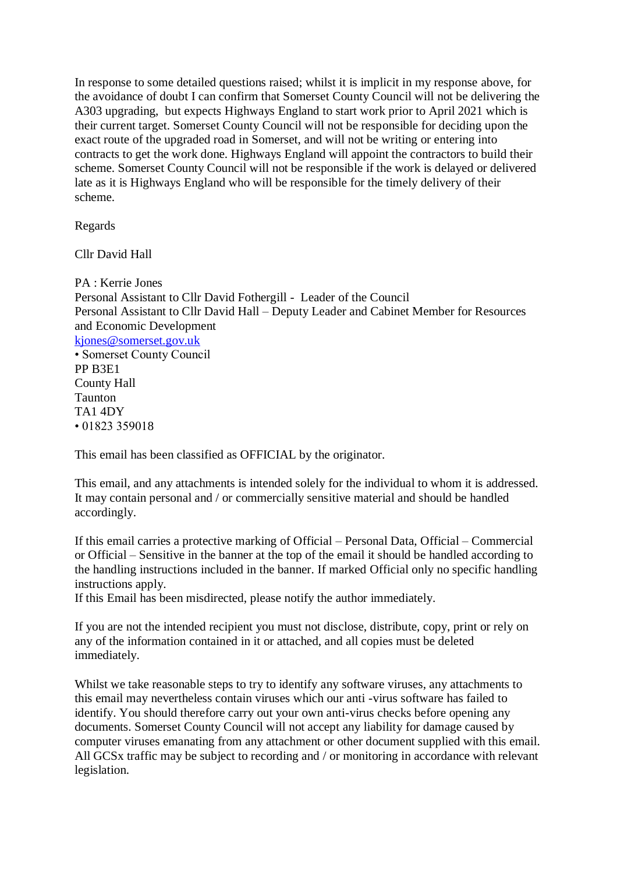In response to some detailed questions raised; whilst it is implicit in my response above, for the avoidance of doubt I can confirm that Somerset County Council will not be delivering the A303 upgrading, but expects Highways England to start work prior to April 2021 which is their current target. Somerset County Council will not be responsible for deciding upon the exact route of the upgraded road in Somerset, and will not be writing or entering into contracts to get the work done. Highways England will appoint the contractors to build their scheme. Somerset County Council will not be responsible if the work is delayed or delivered late as it is Highways England who will be responsible for the timely delivery of their scheme.

Regards

Cllr David Hall

PA : Kerrie Jones Personal Assistant to Cllr David Fothergill - Leader of the Council Personal Assistant to Cllr David Hall – Deputy Leader and Cabinet Member for Resources and Economic Development [kjones@somerset.gov.uk](mailto:kjones@somerset.gov.uk) • Somerset County Council PP B3E1 County Hall Taunton TA1 4DY • 01823 359018

This email has been classified as OFFICIAL by the originator.

This email, and any attachments is intended solely for the individual to whom it is addressed. It may contain personal and / or commercially sensitive material and should be handled accordingly.

If this email carries a protective marking of Official – Personal Data, Official – Commercial or Official – Sensitive in the banner at the top of the email it should be handled according to the handling instructions included in the banner. If marked Official only no specific handling instructions apply.

If this Email has been misdirected, please notify the author immediately.

If you are not the intended recipient you must not disclose, distribute, copy, print or rely on any of the information contained in it or attached, and all copies must be deleted immediately.

Whilst we take reasonable steps to try to identify any software viruses, any attachments to this email may nevertheless contain viruses which our anti -virus software has failed to identify. You should therefore carry out your own anti-virus checks before opening any documents. Somerset County Council will not accept any liability for damage caused by computer viruses emanating from any attachment or other document supplied with this email. All GCSx traffic may be subject to recording and / or monitoring in accordance with relevant legislation.